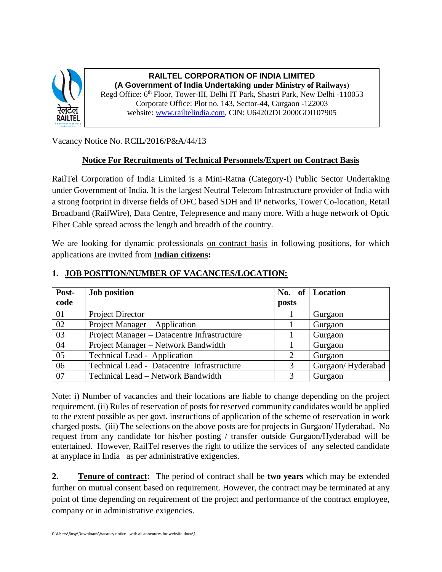

**RAILTEL CORPORATION OF INDIA LIMITED (A Government of India Undertaking under Ministry of Railways**) Regd Office: 6th Floor, Tower-III, Delhi IT Park, Shastri Park, New Delhi -110053 Corporate Office: Plot no. 143, Sector-44, Gurgaon -122003 website: [www.railtelindia.com,](http://www.railtelindia.com/) CIN: U64202DL2000GOI107905

Vacancy Notice No. RCIL/2016/P&A/44/13

## **Notice For Recruitments of Technical Personnels/Expert on Contract Basis**

RailTel Corporation of India Limited is a Mini-Ratna (Category-I) Public Sector Undertaking under Government of India. It is the largest Neutral Telecom Infrastructure provider of India with a strong footprint in diverse fields of OFC based SDH and IP networks, Tower Co-location, Retail Broadband (RailWire), Data Centre, Telepresence and many more. With a huge network of Optic Fiber Cable spread across the length and breadth of the country.

We are looking for dynamic professionals on contract basis in following positions, for which applications are invited from **Indian citizens:**

| Post-<br>code | <b>Job position</b>                         | posts | No. of Location   |
|---------------|---------------------------------------------|-------|-------------------|
| 01            | Project Director                            |       | Gurgaon           |
| 02            | Project Manager – Application               |       | Gurgaon           |
| 03            | Project Manager - Datacentre Infrastructure |       | Gurgaon           |
| 04            | Project Manager - Network Bandwidth         |       | Gurgaon           |
| 05            | Technical Lead - Application                | 2     | Gurgaon           |
| 06            | Technical Lead - Datacentre Infrastructure  | 3     | Gurgaon/Hyderabad |
| 07            | Technical Lead – Network Bandwidth          |       | Gurgaon           |

#### **1. JOB POSITION/NUMBER OF VACANCIES/LOCATION:**

Note: i) Number of vacancies and their locations are liable to change depending on the project requirement. (ii) Rules of reservation of posts for reserved community candidates would be applied to the extent possible as per govt. instructions of application of the scheme of reservation in work charged posts. (iii) The selections on the above posts are for projects in Gurgaon/ Hyderabad. No request from any candidate for his/her posting / transfer outside Gurgaon/Hyderabad will be entertained. However, RailTel reserves the right to utilize the services of any selected candidate at anyplace in India as per administrative exigencies.

**2. Tenure of contract:** The period of contract shall be **two years** which may be extended further on mutual consent based on requirement. However, the contract may be terminated at any point of time depending on requirement of the project and performance of the contract employee, company or in administrative exigencies.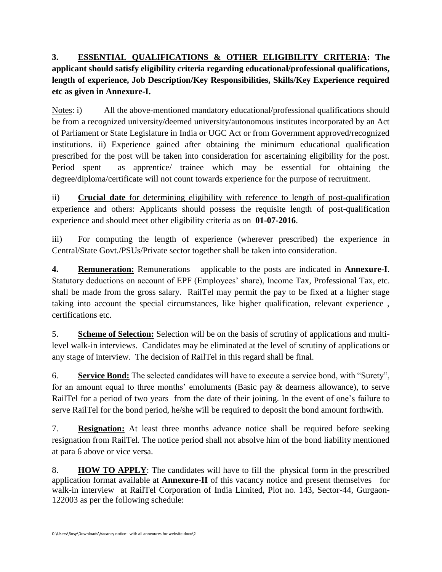**3. ESSENTIAL QUALIFICATIONS & OTHER ELIGIBILITY CRITERIA: The applicant should satisfy eligibility criteria regarding educational/professional qualifications, length of experience, Job Description/Key Responsibilities, Skills/Key Experience required etc as given in Annexure-I.**

Notes: i) All the above-mentioned mandatory educational/professional qualifications should be from a recognized university/deemed university/autonomous institutes incorporated by an Act of Parliament or State Legislature in India or UGC Act or from Government approved/recognized institutions. ii) Experience gained after obtaining the minimum educational qualification prescribed for the post will be taken into consideration for ascertaining eligibility for the post. Period spent as apprentice/ trainee which may be essential for obtaining the degree/diploma/certificate will not count towards experience for the purpose of recruitment.

ii) **Crucial date** for determining eligibility with reference to length of post-qualification experience and others: Applicants should possess the requisite length of post-qualification experience and should meet other eligibility criteria as on **01-07-2016**.

iii) For computing the length of experience (wherever prescribed) the experience in Central/State Govt./PSUs/Private sector together shall be taken into consideration.

**4. Remuneration:** Remunerations applicable to the posts are indicated in **Annexure-I**. Statutory deductions on account of EPF (Employees' share), Income Tax, Professional Tax, etc. shall be made from the gross salary. RailTel may permit the pay to be fixed at a higher stage taking into account the special circumstances, like higher qualification, relevant experience , certifications etc.

5. **Scheme of Selection:** Selection will be on the basis of scrutiny of applications and multilevel walk-in interviews. Candidates may be eliminated at the level of scrutiny of applications or any stage of interview. The decision of RailTel in this regard shall be final.

6. **Service Bond:** The selected candidates will have to execute a service bond, with "Surety", for an amount equal to three months' emoluments (Basic pay & dearness allowance), to serve RailTel for a period of two years from the date of their joining. In the event of one's failure to serve RailTel for the bond period, he/she will be required to deposit the bond amount forthwith.

7. **Resignation:** At least three months advance notice shall be required before seeking resignation from RailTel. The notice period shall not absolve him of the bond liability mentioned at para 6 above or vice versa.

8. **HOW TO APPLY**: The candidates will have to fill the physical form in the prescribed application format available at **Annexure-II** of this vacancy notice and present themselves for walk-in interview at RailTel Corporation of India Limited, Plot no. 143, Sector-44, Gurgaon-122003 as per the following schedule: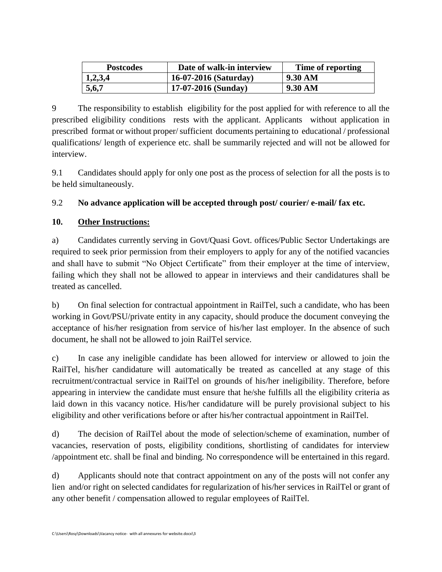| <b>Postcodes</b> | Date of walk-in interview | Time of reporting |
|------------------|---------------------------|-------------------|
| 1,2,3,4          | 16-07-2016 (Saturday)     | 9.30 AM           |
| 5,6,7            | $17-07-2016$ (Sunday)     | 9.30 AM           |

9 The responsibility to establish eligibility for the post applied for with reference to all the prescribed eligibility conditions rests with the applicant. Applicants without application in prescribed format or without proper/ sufficient documents pertaining to educational / professional qualifications/ length of experience etc. shall be summarily rejected and will not be allowed for interview.

9.1 Candidates should apply for only one post as the process of selection for all the posts is to be held simultaneously.

# 9.2 **No advance application will be accepted through post/ courier/ e-mail/ fax etc.**

## **10. Other Instructions:**

a) Candidates currently serving in Govt/Quasi Govt. offices/Public Sector Undertakings are required to seek prior permission from their employers to apply for any of the notified vacancies and shall have to submit "No Object Certificate" from their employer at the time of interview, failing which they shall not be allowed to appear in interviews and their candidatures shall be treated as cancelled.

b) On final selection for contractual appointment in RailTel, such a candidate, who has been working in Govt/PSU/private entity in any capacity, should produce the document conveying the acceptance of his/her resignation from service of his/her last employer. In the absence of such document, he shall not be allowed to join RailTel service.

c) In case any ineligible candidate has been allowed for interview or allowed to join the RailTel, his/her candidature will automatically be treated as cancelled at any stage of this recruitment/contractual service in RailTel on grounds of his/her ineligibility. Therefore, before appearing in interview the candidate must ensure that he/she fulfills all the eligibility criteria as laid down in this vacancy notice. His/her candidature will be purely provisional subject to his eligibility and other verifications before or after his/her contractual appointment in RailTel.

d) The decision of RailTel about the mode of selection/scheme of examination, number of vacancies, reservation of posts, eligibility conditions, shortlisting of candidates for interview /appointment etc. shall be final and binding. No correspondence will be entertained in this regard.

d) Applicants should note that contract appointment on any of the posts will not confer any lien and/or right on selected candidates for regularization of his/her services in RailTel or grant of any other benefit / compensation allowed to regular employees of RailTel.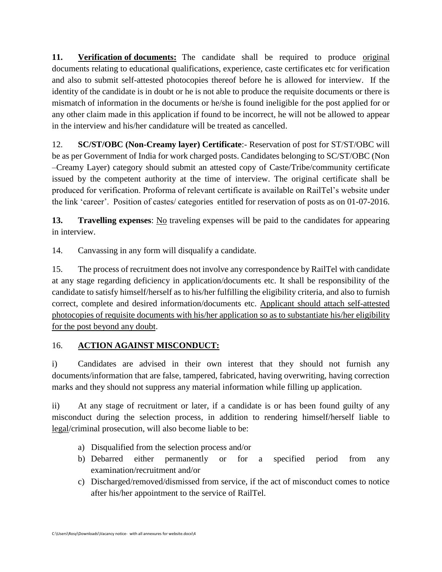**11. Verification of documents:** The candidate shall be required to produce original documents relating to educational qualifications, experience, caste certificates etc for verification and also to submit self-attested photocopies thereof before he is allowed for interview. If the identity of the candidate is in doubt or he is not able to produce the requisite documents or there is mismatch of information in the documents or he/she is found ineligible for the post applied for or any other claim made in this application if found to be incorrect, he will not be allowed to appear in the interview and his/her candidature will be treated as cancelled.

12. **SC/ST/OBC (Non-Creamy layer) Certificate**:- Reservation of post for ST/ST/OBC will be as per Government of India for work charged posts. Candidates belonging to SC/ST/OBC (Non –Creamy Layer) category should submit an attested copy of Caste/Tribe/community certificate issued by the competent authority at the time of interview. The original certificate shall be produced for verification. Proforma of relevant certificate is available on RailTel's website under the link 'career'. Position of castes/ categories entitled for reservation of posts as on 01-07-2016.

**13. Travelling expenses**: No traveling expenses will be paid to the candidates for appearing in interview.

14. Canvassing in any form will disqualify a candidate.

15. The process of recruitment does not involve any correspondence by RailTel with candidate at any stage regarding deficiency in application/documents etc. It shall be responsibility of the candidate to satisfy himself/herself as to his/her fulfilling the eligibility criteria, and also to furnish correct, complete and desired information/documents etc. Applicant should attach self-attested photocopies of requisite documents with his/her application so as to substantiate his/her eligibility for the post beyond any doubt.

## 16. **ACTION AGAINST MISCONDUCT:**

i) Candidates are advised in their own interest that they should not furnish any documents/information that are false, tampered, fabricated, having overwriting, having correction marks and they should not suppress any material information while filling up application.

ii) At any stage of recruitment or later, if a candidate is or has been found guilty of any misconduct during the selection process, in addition to rendering himself/herself liable to legal/criminal prosecution, will also become liable to be:

- a) Disqualified from the selection process and/or
- b) Debarred either permanently or for a specified period from any examination/recruitment and/or
- c) Discharged/removed/dismissed from service, if the act of misconduct comes to notice after his/her appointment to the service of RailTel.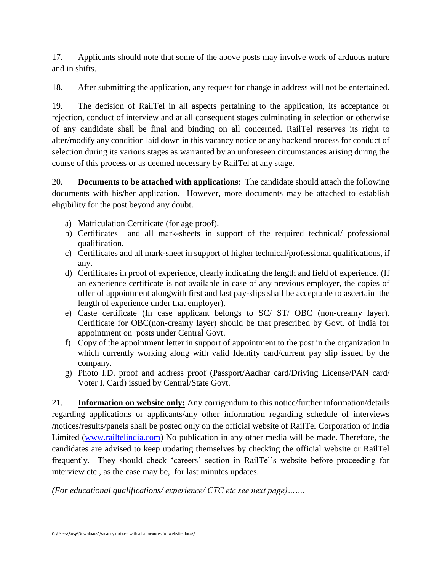17. Applicants should note that some of the above posts may involve work of arduous nature and in shifts.

18. After submitting the application, any request for change in address will not be entertained.

19. The decision of RailTel in all aspects pertaining to the application, its acceptance or rejection, conduct of interview and at all consequent stages culminating in selection or otherwise of any candidate shall be final and binding on all concerned. RailTel reserves its right to alter/modify any condition laid down in this vacancy notice or any backend process for conduct of selection during its various stages as warranted by an unforeseen circumstances arising during the course of this process or as deemed necessary by RailTel at any stage.

20. **Documents to be attached with applications**: The candidate should attach the following documents with his/her application. However, more documents may be attached to establish eligibility for the post beyond any doubt.

- a) Matriculation Certificate (for age proof).
- b) Certificates and all mark-sheets in support of the required technical/ professional qualification.
- c) Certificates and all mark-sheet in support of higher technical/professional qualifications, if any.
- d) Certificates in proof of experience, clearly indicating the length and field of experience. (If an experience certificate is not available in case of any previous employer, the copies of offer of appointment alongwith first and last pay-slips shall be acceptable to ascertain the length of experience under that employer).
- e) Caste certificate (In case applicant belongs to SC/ ST/ OBC (non-creamy layer). Certificate for OBC(non-creamy layer) should be that prescribed by Govt. of India for appointment on posts under Central Govt.
- f) Copy of the appointment letter in support of appointment to the post in the organization in which currently working along with valid Identity card/current pay slip issued by the company.
- g) Photo I.D. proof and address proof (Passport/Aadhar card/Driving License/PAN card/ Voter I. Card) issued by Central/State Govt.

21. **Information on website only:** Any corrigendum to this notice/further information/details regarding applications or applicants/any other information regarding schedule of interviews /notices/results/panels shall be posted only on the official website of RailTel Corporation of India Limited [\(www.railtelindia.com\)](http://www.railtelindia.com/) No publication in any other media will be made. Therefore, the candidates are advised to keep updating themselves by checking the official website or RailTel frequently. They should check 'careers' section in RailTel's website before proceeding for interview etc., as the case may be, for last minutes updates.

*(For educational qualifications/ experience/ CTC etc see next page)…….*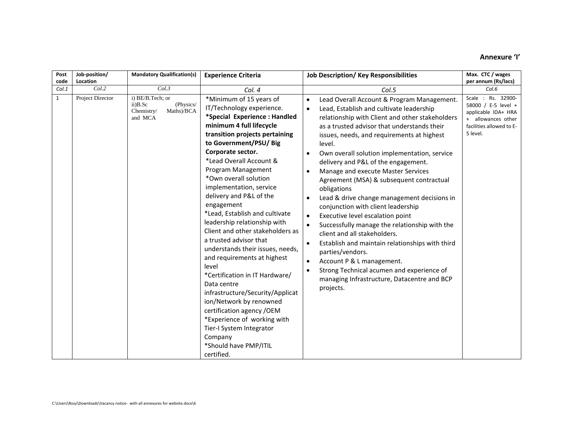#### **Annexure 'I'**

| Post<br>code | Job-position/<br>Location | <b>Mandatory Qualification(s)</b>                                                  | <b>Experience Criteria</b><br><b>Job Description/Key Responsibilities</b>                                                                                                                                                                                                                                                                                                                                                                                                                                                                                                                                                                                                                                                                                                                                              |                                                                                                                                                                                                                                                                                                                                                                                                                                                                                                                                                                                                                                                                                                                                                                                                                                                                                                        | Max. CTC / wages<br>per annum (Rs/lacs)                                                                                       |
|--------------|---------------------------|------------------------------------------------------------------------------------|------------------------------------------------------------------------------------------------------------------------------------------------------------------------------------------------------------------------------------------------------------------------------------------------------------------------------------------------------------------------------------------------------------------------------------------------------------------------------------------------------------------------------------------------------------------------------------------------------------------------------------------------------------------------------------------------------------------------------------------------------------------------------------------------------------------------|--------------------------------------------------------------------------------------------------------------------------------------------------------------------------------------------------------------------------------------------------------------------------------------------------------------------------------------------------------------------------------------------------------------------------------------------------------------------------------------------------------------------------------------------------------------------------------------------------------------------------------------------------------------------------------------------------------------------------------------------------------------------------------------------------------------------------------------------------------------------------------------------------------|-------------------------------------------------------------------------------------------------------------------------------|
| Col.1        | Col.2                     | Col.3                                                                              | Col. 4                                                                                                                                                                                                                                                                                                                                                                                                                                                                                                                                                                                                                                                                                                                                                                                                                 | Col.5                                                                                                                                                                                                                                                                                                                                                                                                                                                                                                                                                                                                                                                                                                                                                                                                                                                                                                  | Col.6                                                                                                                         |
| $\mathbf{1}$ | Project Director          | i) BE/B.Tech; or<br>$ii)$ B.Sc<br>(Physics/<br>Maths)/BCA<br>Chemistry/<br>and MCA | *Minimum of 15 years of<br>IT/Technology experience.<br>*Special Experience: Handled<br>minimum 4 full lifecycle<br>transition projects pertaining<br>to Government/PSU/ Big<br>Corporate sector.<br>*Lead Overall Account &<br>Program Management<br>*Own overall solution<br>implementation, service<br>delivery and P&L of the<br>engagement<br>*Lead, Establish and cultivate<br>leadership relationship with<br>Client and other stakeholders as<br>a trusted advisor that<br>understands their issues, needs,<br>and requirements at highest<br>level<br>*Certification in IT Hardware/<br>Data centre<br>infrastructure/Security/Applicat<br>ion/Network by renowned<br>certification agency / OEM<br>*Experience of working with<br>Tier-I System Integrator<br>Company<br>*Should have PMP/ITIL<br>certified. | Lead Overall Account & Program Management.<br>$\bullet$<br>Lead, Establish and cultivate leadership<br>$\bullet$<br>relationship with Client and other stakeholders<br>as a trusted advisor that understands their<br>issues, needs, and requirements at highest<br>level.<br>Own overall solution implementation, service<br>delivery and P&L of the engagement.<br>Manage and execute Master Services<br>Agreement (MSA) & subsequent contractual<br>obligations<br>Lead & drive change management decisions in<br>conjunction with client leadership<br>Executive level escalation point<br>Successfully manage the relationship with the<br>client and all stakeholders.<br>Establish and maintain relationships with third<br>parties/vendors.<br>Account P & L management.<br>$\bullet$<br>Strong Technical acumen and experience of<br>managing Infrastructure, Datacentre and BCP<br>projects. | Scale: Rs. 32900-<br>58000 / E-5 level +<br>applicable IDA+ HRA<br>+ allowances other<br>facilities allowed to E-<br>5 level. |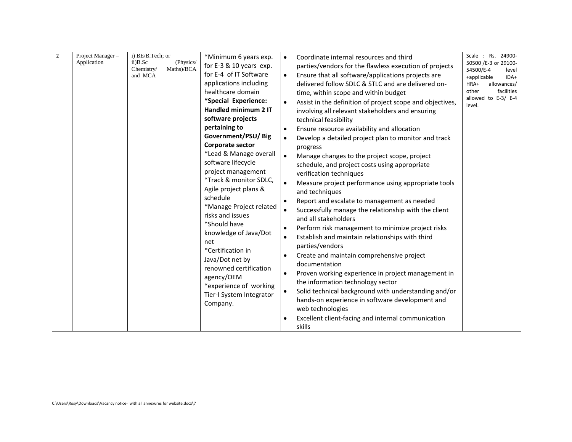|  | Application | $ii)$ B.Sc<br>(Physics/<br>Maths)/BCA<br>Chemistry/<br>and MCA | *Minimum 6 years exp.<br>for E-3 & 10 years exp.<br>for E-4 of IT Software<br>applications including<br>healthcare domain<br>*Special Experience:<br>Handled minimum 2 IT<br>software projects<br>pertaining to<br>Government/PSU/Big<br>Corporate sector<br>*Lead & Manage overall<br>software lifecycle<br>project management<br>*Track & monitor SDLC,<br>Agile project plans &<br>schedule<br>*Manage Project related<br>risks and issues<br>*Should have<br>knowledge of Java/Dot<br>net<br>*Certification in<br>Java/Dot net by<br>renowned certification<br>agency/OEM<br>*experience of working<br>Tier-I System Integrator<br>Company. | Coordinate internal resources and third<br>$\bullet$<br>parties/vendors for the flawless execution of projects<br>Ensure that all software/applications projects are<br>$\bullet$<br>delivered follow SDLC & STLC and are delivered on-<br>time, within scope and within budget<br>Assist in the definition of project scope and objectives,<br>$\bullet$<br>involving all relevant stakeholders and ensuring<br>technical feasibility<br>Ensure resource availability and allocation<br>$\bullet$<br>Develop a detailed project plan to monitor and track<br>$\bullet$<br>progress<br>$\bullet$<br>Manage changes to the project scope, project<br>schedule, and project costs using appropriate<br>verification techniques<br>$\bullet$<br>Measure project performance using appropriate tools<br>and techniques<br>Report and escalate to management as needed<br>Successfully manage the relationship with the client<br>$\bullet$<br>and all stakeholders<br>Perform risk management to minimize project risks<br>$\bullet$<br>Establish and maintain relationships with third<br>$\bullet$<br>parties/vendors<br>Create and maintain comprehensive project<br>documentation<br>Proven working experience in project management in<br>$\bullet$<br>the information technology sector<br>Solid technical background with understanding and/or<br>$\bullet$<br>hands-on experience in software development and<br>web technologies<br>Excellent client-facing and internal communication<br>skills | 50500 /E-3 or 29100-<br>54500/E-4<br>level<br>+applicable<br>IDA+<br>HRA+<br>allowances/<br>other<br>facilities<br>allowed to E-3/ E-4<br>level. |
|--|-------------|----------------------------------------------------------------|-------------------------------------------------------------------------------------------------------------------------------------------------------------------------------------------------------------------------------------------------------------------------------------------------------------------------------------------------------------------------------------------------------------------------------------------------------------------------------------------------------------------------------------------------------------------------------------------------------------------------------------------------|-------------------------------------------------------------------------------------------------------------------------------------------------------------------------------------------------------------------------------------------------------------------------------------------------------------------------------------------------------------------------------------------------------------------------------------------------------------------------------------------------------------------------------------------------------------------------------------------------------------------------------------------------------------------------------------------------------------------------------------------------------------------------------------------------------------------------------------------------------------------------------------------------------------------------------------------------------------------------------------------------------------------------------------------------------------------------------------------------------------------------------------------------------------------------------------------------------------------------------------------------------------------------------------------------------------------------------------------------------------------------------------------------------------------------------------------------------------------------------------------------------|--------------------------------------------------------------------------------------------------------------------------------------------------|
|--|-------------|----------------------------------------------------------------|-------------------------------------------------------------------------------------------------------------------------------------------------------------------------------------------------------------------------------------------------------------------------------------------------------------------------------------------------------------------------------------------------------------------------------------------------------------------------------------------------------------------------------------------------------------------------------------------------------------------------------------------------|-------------------------------------------------------------------------------------------------------------------------------------------------------------------------------------------------------------------------------------------------------------------------------------------------------------------------------------------------------------------------------------------------------------------------------------------------------------------------------------------------------------------------------------------------------------------------------------------------------------------------------------------------------------------------------------------------------------------------------------------------------------------------------------------------------------------------------------------------------------------------------------------------------------------------------------------------------------------------------------------------------------------------------------------------------------------------------------------------------------------------------------------------------------------------------------------------------------------------------------------------------------------------------------------------------------------------------------------------------------------------------------------------------------------------------------------------------------------------------------------------------|--------------------------------------------------------------------------------------------------------------------------------------------------|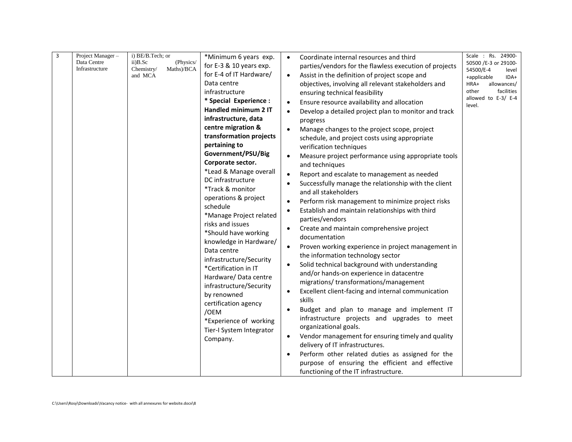| 3<br>Data Centre<br>Infrastructure | Project Manager- | i) BE/B.Tech; or<br>(Physics/<br>$ii)$ B.Sc<br>Maths)/BCA<br>Chemistry/<br>and MCA | *Minimum 6 years exp.<br>for E-3 & 10 years exp.<br>for E-4 of IT Hardware/<br>Data centre<br>infrastructure<br>* Special Experience :<br>Handled minimum 2 IT<br>infrastructure, data<br>centre migration &<br>transformation projects<br>pertaining to<br>Government/PSU/Big<br>Corporate sector.<br>*Lead & Manage overall<br>DC infrastructure<br>*Track & monitor<br>operations & project<br>schedule<br>*Manage Project related<br>risks and issues<br>*Should have working<br>knowledge in Hardware/<br>Data centre<br>infrastructure/Security<br>*Certification in IT<br>Hardware/Data centre<br>infrastructure/Security<br>by renowned<br>certification agency<br>/OEM<br>*Experience of working<br>Tier-I System Integrator<br>Company. | Coordinate internal resources and third<br>$\bullet$<br>parties/vendors for the flawless execution of projects<br>Assist in the definition of project scope and<br>objectives, involving all relevant stakeholders and<br>ensuring technical feasibility<br>Ensure resource availability and allocation<br>Develop a detailed project plan to monitor and track<br>progress<br>Manage changes to the project scope, project<br>schedule, and project costs using appropriate<br>verification techniques<br>Measure project performance using appropriate tools<br>and techniques<br>Report and escalate to management as needed<br>$\bullet$<br>Successfully manage the relationship with the client<br>and all stakeholders<br>Perform risk management to minimize project risks<br>$\bullet$<br>Establish and maintain relationships with third<br>$\bullet$<br>parties/vendors<br>Create and maintain comprehensive project<br>$\bullet$<br>documentation<br>Proven working experience in project management in<br>$\bullet$<br>the information technology sector<br>Solid technical background with understanding<br>and/or hands-on experience in datacentre<br>migrations/transformations/management<br>Excellent client-facing and internal communication<br>skills<br>Budget and plan to manage and implement IT<br>infrastructure projects and upgrades to meet<br>organizational goals.<br>Vendor management for ensuring timely and quality<br>$\bullet$<br>delivery of IT infrastructures.<br>Perform other related duties as assigned for the<br>$\bullet$<br>purpose of ensuring the efficient and effective<br>functioning of the IT infrastructure. | Scale : Rs. 24900-<br>50500 /E-3 or 29100-<br>54500/E-4<br>level<br>IDA+<br>+applicable<br>HRA+<br>allowances/<br>other<br>facilities<br>allowed to E-3/ E-4<br>level. |
|------------------------------------|------------------|------------------------------------------------------------------------------------|---------------------------------------------------------------------------------------------------------------------------------------------------------------------------------------------------------------------------------------------------------------------------------------------------------------------------------------------------------------------------------------------------------------------------------------------------------------------------------------------------------------------------------------------------------------------------------------------------------------------------------------------------------------------------------------------------------------------------------------------------|---------------------------------------------------------------------------------------------------------------------------------------------------------------------------------------------------------------------------------------------------------------------------------------------------------------------------------------------------------------------------------------------------------------------------------------------------------------------------------------------------------------------------------------------------------------------------------------------------------------------------------------------------------------------------------------------------------------------------------------------------------------------------------------------------------------------------------------------------------------------------------------------------------------------------------------------------------------------------------------------------------------------------------------------------------------------------------------------------------------------------------------------------------------------------------------------------------------------------------------------------------------------------------------------------------------------------------------------------------------------------------------------------------------------------------------------------------------------------------------------------------------------------------------------------------------------------------------------------------------------------------------------------------------------|------------------------------------------------------------------------------------------------------------------------------------------------------------------------|
|------------------------------------|------------------|------------------------------------------------------------------------------------|---------------------------------------------------------------------------------------------------------------------------------------------------------------------------------------------------------------------------------------------------------------------------------------------------------------------------------------------------------------------------------------------------------------------------------------------------------------------------------------------------------------------------------------------------------------------------------------------------------------------------------------------------------------------------------------------------------------------------------------------------|---------------------------------------------------------------------------------------------------------------------------------------------------------------------------------------------------------------------------------------------------------------------------------------------------------------------------------------------------------------------------------------------------------------------------------------------------------------------------------------------------------------------------------------------------------------------------------------------------------------------------------------------------------------------------------------------------------------------------------------------------------------------------------------------------------------------------------------------------------------------------------------------------------------------------------------------------------------------------------------------------------------------------------------------------------------------------------------------------------------------------------------------------------------------------------------------------------------------------------------------------------------------------------------------------------------------------------------------------------------------------------------------------------------------------------------------------------------------------------------------------------------------------------------------------------------------------------------------------------------------------------------------------------------------|------------------------------------------------------------------------------------------------------------------------------------------------------------------------|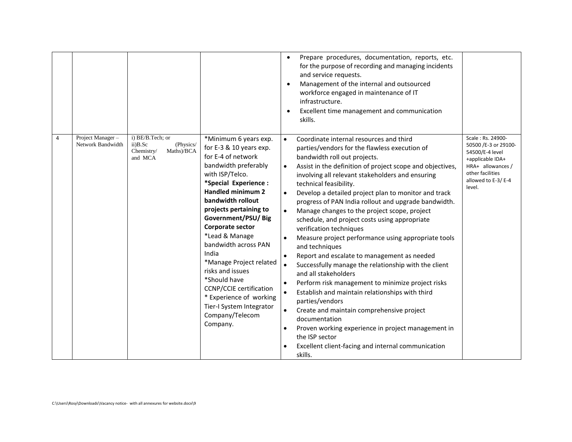|   |                                       |                                                                                 |                                                                                                                                                                                                                                                                                                                                                                                                                                                                                                    | Prepare procedures, documentation, reports, etc.<br>for the purpose of recording and managing incidents<br>and service requests.<br>Management of the internal and outsourced<br>workforce engaged in maintenance of IT<br>infrastructure.<br>Excellent time management and communication<br>skills.                                                                                                                                                                                                                                                                                                                                                                                                                                                                                                                                                                                                                                                                                                                                                                                |                                                                                                                                                           |
|---|---------------------------------------|---------------------------------------------------------------------------------|----------------------------------------------------------------------------------------------------------------------------------------------------------------------------------------------------------------------------------------------------------------------------------------------------------------------------------------------------------------------------------------------------------------------------------------------------------------------------------------------------|-------------------------------------------------------------------------------------------------------------------------------------------------------------------------------------------------------------------------------------------------------------------------------------------------------------------------------------------------------------------------------------------------------------------------------------------------------------------------------------------------------------------------------------------------------------------------------------------------------------------------------------------------------------------------------------------------------------------------------------------------------------------------------------------------------------------------------------------------------------------------------------------------------------------------------------------------------------------------------------------------------------------------------------------------------------------------------------|-----------------------------------------------------------------------------------------------------------------------------------------------------------|
| 4 | Project Manager-<br>Network Bandwidth | i) BE/B.Tech; or<br>ii)B.Sc<br>(Physics/<br>Maths)/BCA<br>Chemistry/<br>and MCA | *Minimum 6 years exp.<br>for E-3 & 10 years exp.<br>for E-4 of network<br>bandwidth preferably<br>with ISP/Telco.<br>*Special Experience :<br>Handled minimum 2<br>bandwidth rollout<br>projects pertaining to<br>Government/PSU/Big<br>Corporate sector<br>*Lead & Manage<br>bandwidth across PAN<br>India<br>*Manage Project related<br>risks and issues<br>*Should have<br><b>CCNP/CCIE</b> certification<br>* Experience of working<br>Tier-I System Integrator<br>Company/Telecom<br>Company. | Coordinate internal resources and third<br>parties/vendors for the flawless execution of<br>bandwidth roll out projects.<br>Assist in the definition of project scope and objectives,<br>involving all relevant stakeholders and ensuring<br>technical feasibility.<br>Develop a detailed project plan to monitor and track<br>progress of PAN India rollout and upgrade bandwidth.<br>Manage changes to the project scope, project<br>schedule, and project costs using appropriate<br>verification techniques<br>Measure project performance using appropriate tools<br>and techniques<br>Report and escalate to management as needed<br>$\bullet$<br>Successfully manage the relationship with the client<br>and all stakeholders<br>Perform risk management to minimize project risks<br>Establish and maintain relationships with third<br>parties/vendors<br>Create and maintain comprehensive project<br>$\bullet$<br>documentation<br>Proven working experience in project management in<br>the ISP sector<br>Excellent client-facing and internal communication<br>skills. | Scale: Rs. 24900-<br>50500 /E-3 or 29100-<br>54500/E-4 level<br>+applicable IDA+<br>HRA+ allowances /<br>other facilities<br>allowed to E-3/E-4<br>level. |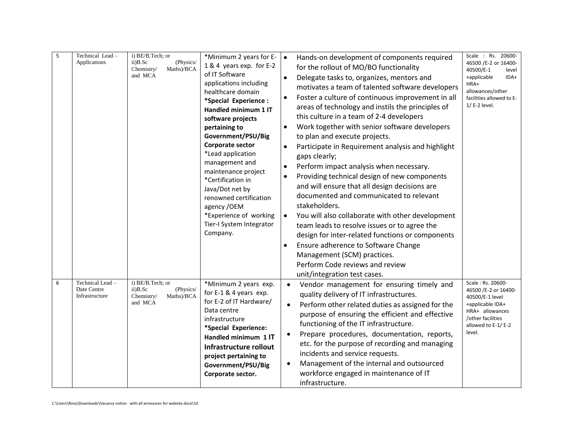| 5 | Technical Lead-<br>Applications                  | i) BE/B.Tech; or<br>(Physics/<br>$ii)$ B.Sc<br>Maths)/BCA<br>Chemistry/<br>and MCA | *Minimum 2 years for E-<br>1 & 4 years exp. for E-2<br>of IT Software<br>applications including<br>healthcare domain<br>*Special Experience:<br>Handled minimum 1 IT<br>software projects<br>pertaining to<br>Government/PSU/Big<br>Corporate sector<br>*Lead application<br>management and<br>maintenance project<br>*Certification in<br>Java/Dot net by<br>renowned certification<br>agency /OEM<br>*Experience of working<br>Tier-I System Integrator<br>Company. | Hands-on development of components required<br>$\bullet$<br>for the rollout of MO/BO functionality<br>Delegate tasks to, organizes, mentors and<br>motivates a team of talented software developers<br>Foster a culture of continuous improvement in all<br>$\bullet$<br>areas of technology and instils the principles of<br>this culture in a team of 2-4 developers<br>Work together with senior software developers<br>to plan and execute projects.<br>Participate in Requirement analysis and highlight<br>gaps clearly;<br>Perform impact analysis when necessary.<br>$\bullet$<br>Providing technical design of new components<br>$\bullet$<br>and will ensure that all design decisions are<br>documented and communicated to relevant<br>stakeholders.<br>You will also collaborate with other development<br>$\bullet$<br>team leads to resolve issues or to agree the<br>design for inter-related functions or components<br>Ensure adherence to Software Change<br>Management (SCM) practices.<br>Perform Code reviews and review<br>unit/integration test cases. | Scale : Rs. 20600-<br>46500 /E-2 or 16400-<br>40500/E-1<br>level<br>+applicable<br>IDA+<br>HRA+<br>allowances/other<br>facilities allowed to E-<br>$1/$ E-2 level. |
|---|--------------------------------------------------|------------------------------------------------------------------------------------|-----------------------------------------------------------------------------------------------------------------------------------------------------------------------------------------------------------------------------------------------------------------------------------------------------------------------------------------------------------------------------------------------------------------------------------------------------------------------|--------------------------------------------------------------------------------------------------------------------------------------------------------------------------------------------------------------------------------------------------------------------------------------------------------------------------------------------------------------------------------------------------------------------------------------------------------------------------------------------------------------------------------------------------------------------------------------------------------------------------------------------------------------------------------------------------------------------------------------------------------------------------------------------------------------------------------------------------------------------------------------------------------------------------------------------------------------------------------------------------------------------------------------------------------------------------------|--------------------------------------------------------------------------------------------------------------------------------------------------------------------|
| 6 | Technical Lead-<br>Date Centre<br>Infrastructure | i) BE/B.Tech; or<br>$ii)$ B.Sc<br>(Physics/<br>Maths)/BCA<br>Chemistry/<br>and MCA | *Minimum 2 years exp.<br>for E-1 & 4 years exp.<br>for E-2 of IT Hardware/<br>Data centre<br>infrastructure<br>*Special Experience:<br>Handled minimum 1 IT<br>Infrastructure rollout<br>project pertaining to<br>Government/PSU/Big<br>Corporate sector.                                                                                                                                                                                                             | Vendor management for ensuring timely and<br>$\bullet$<br>quality delivery of IT infrastructures.<br>Perform other related duties as assigned for the<br>$\bullet$<br>purpose of ensuring the efficient and effective<br>functioning of the IT infrastructure.<br>Prepare procedures, documentation, reports,<br>etc. for the purpose of recording and managing<br>incidents and service requests.<br>Management of the internal and outsourced<br>$\bullet$<br>workforce engaged in maintenance of IT<br>infrastructure.                                                                                                                                                                                                                                                                                                                                                                                                                                                                                                                                                      | Scale: Rs. 20600-<br>46500 /E-2 or 16400-<br>40500/E-1 level<br>+applicable IDA+<br>HRA+ allowances<br>/other facilities<br>allowed to E-1/E-2<br>level.           |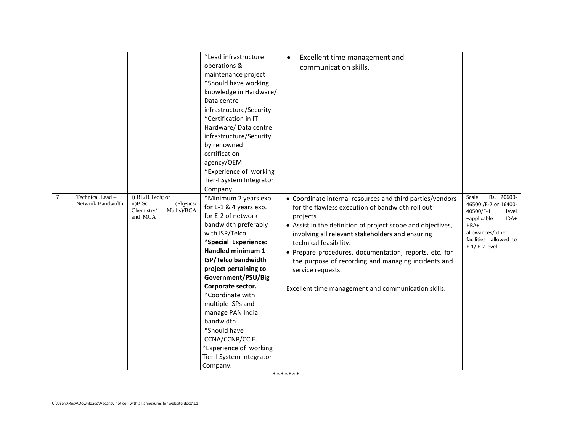|                |                                       |                                                                                    | *Lead infrastructure<br>operations &<br>maintenance project<br>*Should have working<br>knowledge in Hardware/<br>Data centre<br>infrastructure/Security<br>*Certification in IT<br>Hardware/ Data centre<br>infrastructure/Security<br>by renowned<br>certification<br>agency/OEM<br>*Experience of working<br>Tier-I System Integrator<br>Company.                                                                                             | Excellent time management and<br>communication skills.                                                                                                                                                                                                                                                                                                                                                                                                               |                                                                                                                                                                |
|----------------|---------------------------------------|------------------------------------------------------------------------------------|-------------------------------------------------------------------------------------------------------------------------------------------------------------------------------------------------------------------------------------------------------------------------------------------------------------------------------------------------------------------------------------------------------------------------------------------------|----------------------------------------------------------------------------------------------------------------------------------------------------------------------------------------------------------------------------------------------------------------------------------------------------------------------------------------------------------------------------------------------------------------------------------------------------------------------|----------------------------------------------------------------------------------------------------------------------------------------------------------------|
| $\overline{7}$ | Technical Lead -<br>Network Bandwidth | i) BE/B.Tech; or<br>(Physics/<br>$ii)$ B.Sc<br>Maths)/BCA<br>Chemistry/<br>and MCA | *Minimum 2 years exp.<br>for E-1 & 4 years exp.<br>for E-2 of network<br>bandwidth preferably<br>with ISP/Telco.<br>*Special Experience:<br>Handled minimum 1<br><b>ISP/Telco bandwidth</b><br>project pertaining to<br>Government/PSU/Big<br>Corporate sector.<br>*Coordinate with<br>multiple ISPs and<br>manage PAN India<br>bandwidth.<br>*Should have<br>CCNA/CCNP/CCIE.<br>*Experience of working<br>Tier-I System Integrator<br>Company. | • Coordinate internal resources and third parties/vendors<br>for the flawless execution of bandwidth roll out<br>projects.<br>• Assist in the definition of project scope and objectives,<br>involving all relevant stakeholders and ensuring<br>technical feasibility.<br>• Prepare procedures, documentation, reports, etc. for<br>the purpose of recording and managing incidents and<br>service requests.<br>Excellent time management and communication skills. | Scale : Rs. 20600-<br>46500 /E-2 or 16400-<br>40500/E-1<br>level<br>+applicable<br>IDA+<br>HRA+<br>allowances/other<br>facilities allowed to<br>E-1/E-2 level. |

\*\*\*\*\*\*\*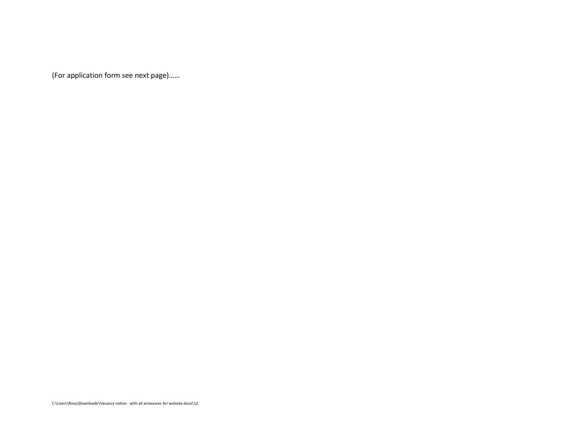(For application form see next page)……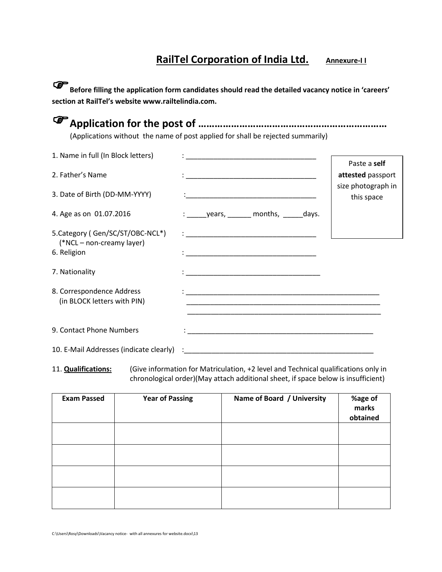# **RailTel Corporation of India Ltd.** Annexure-II

**Before filling the application form candidates should read the detailed vacancy notice in 'careers' section at RailTel's website www.railtelindia.com.**

| (Applications without the name of post applied for shall be rejected summarily) |
|---------------------------------------------------------------------------------|

| 1. Name in full (In Block letters)                                           |                                                                                                                                                                                                                                              |                                  |
|------------------------------------------------------------------------------|----------------------------------------------------------------------------------------------------------------------------------------------------------------------------------------------------------------------------------------------|----------------------------------|
|                                                                              |                                                                                                                                                                                                                                              | Paste a self                     |
| 2. Father's Name                                                             |                                                                                                                                                                                                                                              | attested passport                |
| 3. Date of Birth (DD-MM-YYYY)                                                |                                                                                                                                                                                                                                              | size photograph in<br>this space |
| 4. Age as on 01.07.2016                                                      | $\frac{1}{2}$ years, _______ months, ______ days.                                                                                                                                                                                            |                                  |
| 5. Category (Gen/SC/ST/OBC-NCL*)<br>(*NCL – non-creamy layer)<br>6. Religion |                                                                                                                                                                                                                                              |                                  |
| 7. Nationality                                                               |                                                                                                                                                                                                                                              |                                  |
| 8. Correspondence Address<br>(in BLOCK letters with PIN)                     |                                                                                                                                                                                                                                              |                                  |
| 9. Contact Phone Numbers                                                     | <u> 1989 - Jan James James James James James James James James James James James James James James James James J</u><br><u> 2000 - 2000 - 2000 - 2000 - 2000 - 2000 - 2000 - 2000 - 2000 - 2000 - 2000 - 2000 - 2000 - 2000 - 2000 - 200</u> |                                  |
| 10. E-Mail Addresses (indicate clearly) : ____________                       |                                                                                                                                                                                                                                              |                                  |

11. **Qualifications:** (Give information for Matriculation, +2 level and Technical qualifications only in chronological order)(May attach additional sheet, if space below is insufficient)

| <b>Exam Passed</b> | <b>Year of Passing</b> | Name of Board / University | %age of<br>marks<br>obtained |
|--------------------|------------------------|----------------------------|------------------------------|
|                    |                        |                            |                              |
|                    |                        |                            |                              |
|                    |                        |                            |                              |
|                    |                        |                            |                              |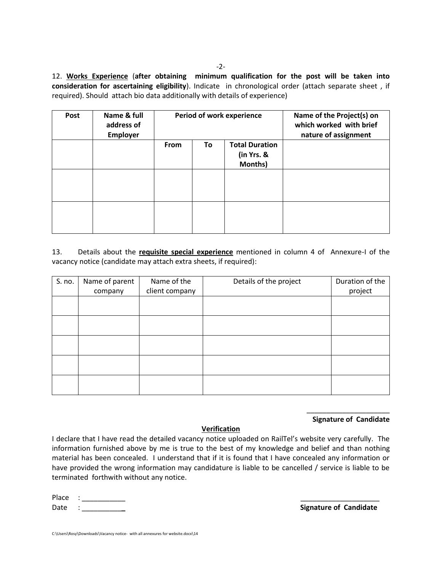12. **Works Experience** (**after obtaining minimum qualification for the post will be taken into consideration for ascertaining eligibility**). Indicate in chronological order (attach separate sheet , if required). Should attach bio data additionally with details of experience)

| Post | Name & full<br>address of<br><b>Employer</b> | Period of work experience |    |                       | Name of the Project(s) on<br>which worked with brief<br>nature of assignment |
|------|----------------------------------------------|---------------------------|----|-----------------------|------------------------------------------------------------------------------|
|      |                                              | <b>From</b>               | To | <b>Total Duration</b> |                                                                              |
|      |                                              |                           |    | (in Yrs. &            |                                                                              |
|      |                                              |                           |    | Months)               |                                                                              |
|      |                                              |                           |    |                       |                                                                              |
|      |                                              |                           |    |                       |                                                                              |
|      |                                              |                           |    |                       |                                                                              |
|      |                                              |                           |    |                       |                                                                              |
|      |                                              |                           |    |                       |                                                                              |
|      |                                              |                           |    |                       |                                                                              |

13. Details about the **requisite special experience** mentioned in column 4 of Annexure-I of the vacancy notice (candidate may attach extra sheets, if required):

| S. no. | Name of parent | Name of the    | Details of the project | Duration of the |
|--------|----------------|----------------|------------------------|-----------------|
|        | company        | client company |                        | project         |
|        |                |                |                        |                 |
|        |                |                |                        |                 |
|        |                |                |                        |                 |
|        |                |                |                        |                 |
|        |                |                |                        |                 |
|        |                |                |                        |                 |
|        |                |                |                        |                 |
|        |                |                |                        |                 |
|        |                |                |                        |                 |
|        |                |                |                        |                 |

#### \_\_\_\_\_\_\_\_\_\_\_\_\_\_\_\_\_\_\_\_\_ **Signature of Candidate**

#### **Verification**

I declare that I have read the detailed vacancy notice uploaded on RailTel's website very carefully. The information furnished above by me is true to the best of my knowledge and belief and than nothing material has been concealed. I understand that if it is found that I have concealed any information or have provided the wrong information may candidature is liable to be cancelled / service is liable to be terminated forthwith without any notice.

| Place |                               |  |
|-------|-------------------------------|--|
| Date  | <b>Signature of Candidate</b> |  |